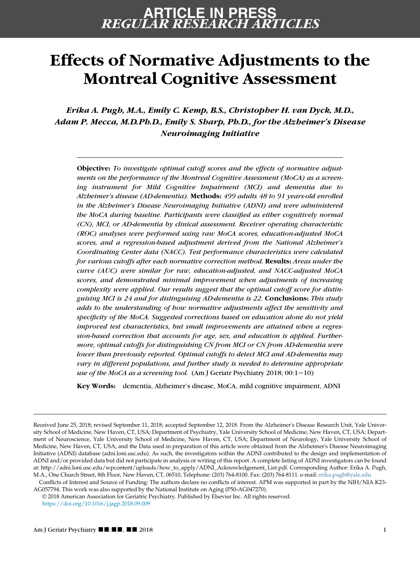### REGULAR RESEARCH ARTICLES ARTICLE IN PRESS

# Effects of Normative Adjustments to the Montreal Cognitive Assessment

Erika A. Pugh, M.A., Emily C. Kemp, B.S., Christopher H. van Dyck, M.D., Adam P. Mecca, M.D.Ph.D., Emily S. Sharp, Ph.D., for the Alzheimer's Disease Neuroimaging Initiative

Objective: To investigate optimal cutoff scores and the effects of normative adjustments on the performance of the Montreal Cognitive Assessment (MoCA) as a screening instrument for Mild Cognitive Impairment (MCI) and dementia due to Alzheimer's disease (AD-dementia). Methods: 499 adults 48 to 91 years-old enrolled in the Alzheimer's Disease Neuroimaging Initiative (ADNI) and were administered the MoCA during baseline. Participants were classified as either cognitively normal (CN), MCI, or AD-dementia by clinical assessment. Receiver operating characteristic (ROC) analyses were performed using raw MoCA scores, education-adjusted MoCA scores, and a regression-based adjustment derived from the National Alzheimer's Coordinating Center data (NACC). Test performance characteristics were calculated for various cutoffs after each normative correction method. Results: Areas under the curve (AUC) were similar for raw, education-adjusted, and NACC-adjusted MoCA scores, and demonstrated minimal improvement when adjustments of increasing complexity were applied. Our results suggest that the optimal cutoff score for distinguising MCI is 24 and for distinguising AD-dementia is 22. Conclusions: This study adds to the understanding of how normative adjustments affect the sensitivity and specificity of the MoCA. Suggested corrections based on education alone do not yield improved test characteristics, but small improvements are attained when a regression-based correction that accounts for age, sex, and education is applied. Furthermore, optimal cutoffs for distinguishing CN from MCI or CN from AD-dementia were lower than previously reported. Optimal cutoffs to detect MCI and AD-dementia may vary in different populations, and further study is needed to determine appropriate use of the MoCA as a screening tool. (Am J Geriatr Psychiatry 2018; 00:1−10)

Key Words: dementia, Alzheimer's disease, MoCA, mild cognitive impairment, ADNI

© 2018 American Association for Geriatric Psychiatry. Published by Elsevier Inc. All rights reserved. <https://doi.org/10.1016/j.jagp.2018.09.009>

Received June 25, 2018; revised September 11, 2018; accepted September 12, 2018. From the Alzheimer's Disease Research Unit, Yale University School of Medicine, New Haven, CT, USA; Department of Psychiatry, Yale University School of Medicine, New Haven, CT, USA; Department of Neuroscience, Yale University School of Medicine, New Haven, CT, USA; Department of Neurology, Yale University School of Medicine, New Haven, CT, USA; and the Data used in preparation of this article were obtained from the Alzheimer's Disease Neuroimaging Initiative (ADNI) database (adni.loni.usc.edu). As such, the investigators within the ADNI contributed to the design and implementation of ADNI and/or provided data but did not participate in analysis or writing of this report. A complete listing of ADNI investigators can be found at: http://adni.loni.usc.edu/wpcontent/uploads/how\_to\_apply/ADNI\_Acknowledgement\_List.pdf. Corresponding Author: Erika A. Pugh, M.A., One Church Street, 8th Floor, New Haven, CT, 06510, Telephone: (203) 764-8100. Fax: (203) 764-8111. e-mail: [erika.pugh@yale.edu](mailto:erika.pugh@yale.edu)

Conflicts of Interest and Source of Funding: The authors declare no conflicts of interest. APM was supported in part by the NIH/NIA K23- AG057794. This work was also supported by the National Institute on Aging (P50-AG047270).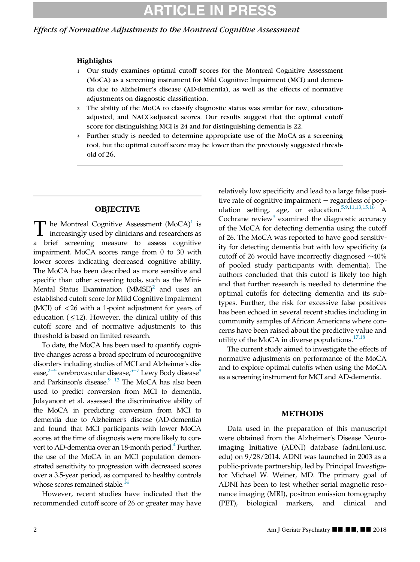#### Effects of Normative Adjustments to the Montreal Cognitive Assessment

#### **Highlights**

- 1 Our study examines optimal cutoff scores for the Montreal Cognitive Assessment (MoCA) as a screening instrument for Mild Cognitive Impairment (MCI) and dementia due to Alzheimer's disease (AD-dementia), as well as the effects of normative adjustments on diagnostic classification.
- 2 The ability of the MoCA to classify diagnostic status was similar for raw, educationadjusted, and NACC-adjusted scores. Our results suggest that the optimal cutoff score for distinguishing MCI is 24 and for distinguishing dementia is 22.
- 3 Further study is needed to determine appropriate use of the MoCA as a screening tool, but the optimal cutoff score may be lower than the previously suggested threshold of 26.

#### **OBJECTIVE**

T he Montreal Cognitive Assessment (MoCA)<sup>1</sup> is<br>increasingly used by clinicians and researchers as a brief screening measure to assess cognitive impairment. MoCA scores range from 0 to 30 with lower scores indicating decreased cognitive ability. The MoCA has been described as more sensitive and specific than other screening tools, such as the Mini-Mental Status Examination  $(MMSE)^2$  and uses an established cutoff score for Mild Cognitive Impairment (MCI) of <26 with a 1-point adjustment for years of education ( $\leq$ 12). However, the clinical utility of this cutoff score and of normative adjustments to this threshold is based on limited research.

To date, the MoCA has been used to quantify cognitive changes across a broad spectrum of neurocognitive disorders including studies of MCI and Alzheimer's dis-ease,<sup>2[−](#page-8-2)5</sup> cerebrovascular disease,<sup>5−7</sup> Lewy Body disease<sup>8</sup> and Parkinson's disease.<sup>9-[13](#page-8-4)</sup> The MoCA has also been used to predict conversion from MCI to dementia. Julayanont et al. assessed the discriminative ability of the MoCA in predicting conversion from MCI to dementia due to Alzheimer's disease (AD-dementia) and found that MCI participants with lower MoCA scores at the time of diagnosis were more likely to convert to AD-dementia over an 18-month period. $4$  Further, the use of the MoCA in an MCI population demonstrated sensitivity to progression with decreased scores over a 3.5-year period, as compared to healthy controls whose scores remained stable.<sup>14</sup>

However, recent studies have indicated that the recommended cutoff score of 26 or greater may have

relatively low specificity and lead to a large false positive rate of cognitive impairment − regardless of population setting, age, or education.[5,9](#page-8-2)[,11,13](#page-8-7)[,15,16](#page-8-8) A Cochrane review<sup>[3](#page-8-9)</sup> examined the diagnostic accuracy of the MoCA for detecting dementia using the cutoff of 26. The MoCA was reported to have good sensitivity for detecting dementia but with low specificity (a cutoff of 26 would have incorrectly diagnosed  $\sim$ 40% of pooled study participants with dementia). The authors concluded that this cutoff is likely too high and that further research is needed to determine the optimal cutoffs for detecting dementia and its subtypes. Further, the risk for excessive false positives has been echoed in several recent studies including in community samples of African Americans where concerns have been raised about the predictive value and utility of the MoCA in diverse populations. $17,18$ 

The current study aimed to investigate the effects of normative adjustments on performance of the MoCA and to explore optimal cutoffs when using the MoCA as a screening instrument for MCI and AD-dementia.

#### METHODS

Data used in the preparation of this manuscript were obtained from the Alzheimer's Disease Neuroimaging Initiative (ADNI) database (adni.loni.usc. edu) on 9/28/2014. ADNI was launched in 2003 as a public-private partnership, led by Principal Investigator Michael W. Weiner, MD. The primary goal of ADNI has been to test whether serial magnetic resonance imaging (MRI), positron emission tomography (PET), biological markers, and clinical and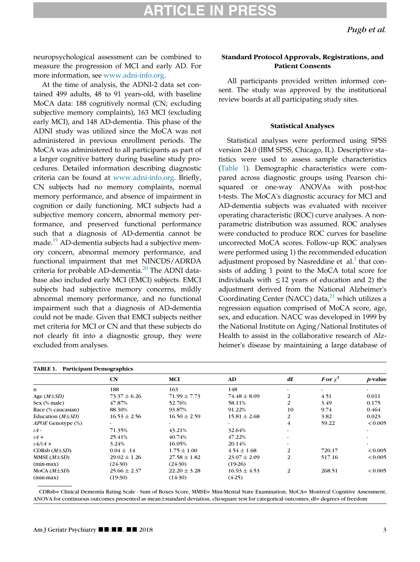neuropsychological assessment can be combined to measure the progression of MCI and early AD. For more information, see [www.adni-info.org.](http://www.adni-info.org)

At the time of analysis, the ADNI-2 data set contained 499 adults, 48 to 91 years-old, with baseline MoCA data: 188 cognitively normal (CN; excluding subjective memory complaints), 163 MCI (excluding early MCI), and 148 AD-dementia. This phase of the ADNI study was utilized since the MoCA was not administered in previous enrollment periods. The MoCA was administered to all participants as part of a larger cognitive battery during baseline study procedures. Detailed information describing diagnostic criteria can be found at [www.adni-info.org](http://www.adni-info.org). Briefly, CN subjects had no memory complaints, normal memory performance, and absence of impairment in cognition or daily functioning. MCI subjects had a subjective memory concern, abnormal memory performance, and preserved functional performance such that a diagnosis of AD-dementia cannot be made.<sup>[19](#page-8-11)</sup> AD-dementia subjects had a subjective memory concern, abnormal memory performance, and functional impairment that met NINCDS/ADRDA criteria for probable AD-dementia.<sup>[20](#page-8-12)</sup> The ADNI database also included early MCI (EMCI) subjects. EMCI subjects had subjective memory concerns, mildly abnormal memory performance, and no functional impairment such that a diagnosis of AD-dementia could not be made. Given that EMCI subjects neither met criteria for MCI or CN and that these subjects do not clearly fit into a diagnostic group, they were excluded from analyses.

#### Standard Protocol Approvals, Registrations, and Patient Consents

All participants provided written informed consent. The study was approved by the institutional review boards at all participating study sites.

#### Statistical Analyses

Statistical analyses were performed using SPSS version 24.0 (IBM SPSS, Chicago, IL). Descriptive statistics were used to assess sample characteristics ([Table 1](#page-2-0)). Demographic characteristics were compared across diagnostic groups using Pearson chisquared or one-way ANOVAs with post-hoc t-tests. The MoCA's diagnostic accuracy for MCI and AD-dementia subjects was evaluated with receiver operating characteristic (ROC) curve analyses. A nonparametric distribution was assumed. ROC analyses were conducted to produce ROC curves for baseline uncorrected MoCA scores. Follow-up ROC analyses were performed using 1) the recommended education adjustment proposed by Nasreddine et  $al<sup>1</sup>$  $al<sup>1</sup>$  $al<sup>1</sup>$  that consists of adding 1 point to the MoCA total score for individuals with  $\leq 12$  years of education and 2) the adjustment derived from the National Alzheimer's Coordinating Center (NACC) data, $^{21}$  $^{21}$  $^{21}$  which utilizes a regression equation comprised of MoCA score, age, sex, and education. NACC was developed in 1999 by the National Institute on Aging/National Institutes of Health to assist in the collaborative research of Alzheimer's disease by maintaining a large database of

<span id="page-2-0"></span>

| <b>TABLE 1. Participant Demographics</b> |                  |                  |                  |                |              |                       |
|------------------------------------------|------------------|------------------|------------------|----------------|--------------|-----------------------|
|                                          | <b>CN</b>        | <b>MCI</b>       | AD               | df             | For $\chi^2$ | <i>p</i> -value       |
| n                                        | 188              | 163              | 148              |                | ۰            |                       |
| Age $(M\pm SD)$                          | $73.37 \pm 6.26$ | $71.99 \pm 7.73$ | $74.48 \pm 8.09$ | $\overline{2}$ | 4.51         | 0.011                 |
| $Sex$ (% male)                           | 47.87%           | 52.76%           | 58.11%           | $\overline{c}$ | 3.49         | 0.175                 |
| Race (% caucasian)                       | 88.30%           | 93.87%           | 91.22%           | 10             | 9.74         | 0.464                 |
| Education $(M\pm SD)$                    | $16.53 \pm 2.56$ | $16.50 \pm 2.59$ | $15.81 \pm 2.68$ | 2              | 3.82         | 0.023                 |
| <i>APOE</i> Genotype (%)                 | $\sim$           |                  | ۰                | $\overline{4}$ | 59.22        | < 0.005               |
| $\varepsilon$ 4 -                        | 71.35%           | 43.21%           | 32.64%           |                |              |                       |
| $\epsilon$ 4+                            | 25.41%           | 40.74%           | 47.22%           |                |              |                       |
| $\epsilon 4/\epsilon 4 +$                | 3.24%            | 16.05%           | 20.14%           | ۰              |              | $\tilde{\phantom{a}}$ |
| CDRsb $(M\pm SD)$                        | $0.04 \pm .14$   | $1.75 \pm 1.00$  | $4.54 \pm 1.68$  | $\overline{2}$ | 720.17       | ${}_{0.005}$          |
| MMSE $(M\pm SD)$                         | $29.02 \pm 1.26$ | $27.58 \pm 1.82$ | $23.07 \pm 2.09$ | $\overline{c}$ | 517.16       | ${}_{0.005}$          |
| $(min-max)$                              | $(24-30)$        | $(24-30)$        | $(19-26)$        |                |              |                       |
| $MoCA (M\pm SD)$                         | $25.66 \pm 2.37$ | $22.20 \pm 3.28$ | $16.93 \pm 4.53$ | $\overline{c}$ | 268.51       | ${}_{0.005}$          |
| $(min-max)$                              | $(19-30)$        | $(14-30)$        | $(4-25)$         |                |              |                       |

CDRsb= Clinical Dementia Rating Scale - Sum of Boxes Score, MMSE= Mini-Mental State Examination, MoCA= Montreal Cognitive Assessment, ANOVA for continuous outcomes presented as mean±standard deviation, chi-square test for categorical outcomes, df= degrees of freedom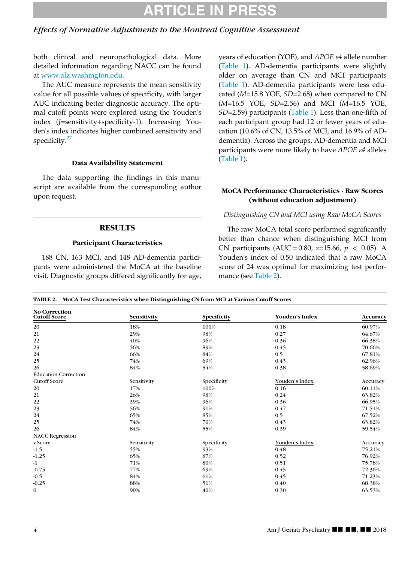#### Effects of Normative Adjustments to the Montreal Cognitive Assessment

both clinical and neuropathological data. More detailed information regarding NACC can be found at [www.alz.washington.edu.](http://www.alz.washington.edu)

The AUC measure represents the mean sensitivity value for all possible values of specificity, with larger AUC indicating better diagnostic accuracy. The optimal cutoff points were explored using the Youden's index (J=sensitivity+specificity-1). Increasing Youden's index indicates higher combined sensitivity and specificity. $22$ 

#### Data Availability Statement

The data supporting the findings in this manuscript are available from the corresponding author upon request.

#### **RESULTS**

#### Participant Characteristics

188 CN, 163 MCI, and 148 AD-dementia participants were administered the MoCA at the baseline visit. Diagnostic groups differed significantly for age, years of education (YOE), and APOE e4 allele number ([Table 1\)](#page-2-0). AD-dementia participants were slightly older on average than CN and MCI participants ([Table 1](#page-2-0)). AD-dementia participants were less educated ( $M=15.8$  YOE,  $SD=2.68$ ) when compared to CN (M=16.5 YOE, SD=2.56) and MCI (M=16.5 YOE, SD=2.59) participants [\(Table 1](#page-2-0)). Less than one-fifth of each participant group had 12 or fewer years of education (10.6% of CN, 13.5% of MCI, and 16.9% of ADdementia). Across the groups, AD-dementia and MCI participants were more likely to have  $APOE \varepsilon 4$  alleles ([Table 1](#page-2-0)).

#### MoCA Performance Characteristics - Raw Scores (without education adjustment)

#### Distinguishing CN and MCI using Raw MoCA Scores

The raw MoCA total score performed significantly better than chance when distinguishing MCI from CN participants (AUC = 0.80, z=15.66,  $p < 0.05$ ). A Youden's index of 0.50 indicated that a raw MoCA score of 24 was optimal for maximizing test performance (see [Table 2\)](#page-3-0).

| <b>No Correction</b><br><b>Cutoff Score</b> | Sensitivity | Specificity | Youden's Index | Accuracy |
|---------------------------------------------|-------------|-------------|----------------|----------|
| 20                                          | 18%         | 100%        | 0.18           | 60.97%   |
| 21                                          | 29%         | 98%         | 0.27           | 64.67%   |
| 22                                          | 40%         | 96%         | 0.36           | 66.38%   |
| 23                                          | 56%         | 89%         | 0.45           | 70.66%   |
| 24                                          | 66%         | 84%         | 0.5            | 67.81%   |
| 25                                          | 74%         | 69%         | 0.43           | 62.96%   |
| 26                                          | 84%         | 54%         | 0.38           | 58.69%   |
| <b>Education Correction</b>                 |             |             |                |          |
| <b>Cutoff Score</b>                         | Sensitivity | Specificity | Youden's Index | Accuracy |
| 20                                          | 17%         | 100%        | 0.16           | 60.11%   |
| 21                                          | 26%         | 98%         | 0.24           | 63.82%   |
| 22                                          | 39%         | 96%         | 0.36           | 66.95%   |
| 23                                          | 56%         | 91%         | 0.47           | 71.51%   |
| 24                                          | 65%         | 85%         | 0.5            | 67.52%   |
| 25                                          | 74%         | 70%         | 0.43           | 63.82%   |
| 26                                          | 84%         | 55%         | 0.39           | 59.54%   |
| <b>NACC Regression</b>                      |             |             |                |          |
| z-Score                                     | Sensitivity | Specificity | Youden's Index | Accuracy |
| $-1.5$                                      | 55%         | 93%         | 0.48           | 75.21%   |
| $-1.25$                                     | 65%         | 87%         | 0.52           | 76.92%   |
| $-1$                                        | 71%         | 80%         | 0.51           | 75.78%   |
| $-0.75$                                     | 77%         | 69%         | 0.45           | 72.36%   |
| $-0.5$                                      | 84%         | 61%         | 0.45           | 71.23%   |
| $-0.25$                                     | 88%         | 51%         | 0.40           | 68.38%   |
| $\mathbf{0}$                                | 90%         | 40%         | 0.30           | 63.53%   |

<span id="page-3-0"></span>TABLE 2. MoCA Test Characteristics when Distinguishing CN from MCI at Various Cutoff Scores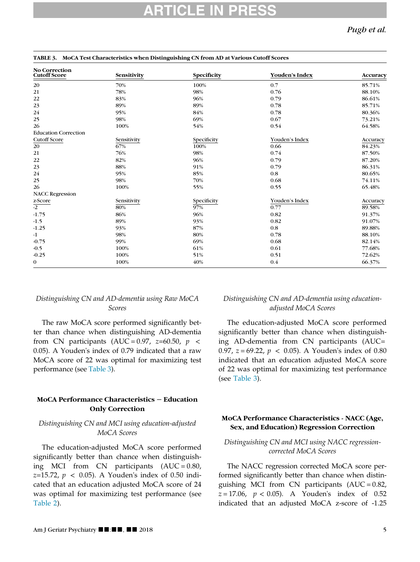Pugh et al.

| <b>No Correction</b><br><b>Cutoff Score</b> | Sensitivity | Specificity | Youden's Index | Accuracy |
|---------------------------------------------|-------------|-------------|----------------|----------|
| 20                                          | 70%         | 100%        | 0.7            | 85.71%   |
| 21                                          | 78%         | 98%         | 0.76           | 88.10%   |
| 22                                          | 83%         | 96%         | 0.79           | 86.61%   |
| 23                                          | 89%         | 89%         | 0.78           | 85.71%   |
| 24                                          | 95%         | 84%         | 0.78           | 80.36%   |
| 25                                          | 98%         | 69%         | 0.67           | 73.21%   |
| 26                                          | 100%        | 54%         | 0.54           | 64.58%   |
| <b>Education Correction</b>                 |             |             |                |          |
| <b>Cutoff Score</b>                         | Sensitivity | Specificity | Youden's Index | Accuracy |
| 20                                          | 67%         | 100%        | 0.66           | 84.23%   |
| 21                                          | 76%         | 98%         | 0.74           | 87.50%   |
| 22                                          | 82%         | 96%         | 0.79           | 87.20%   |
| 23                                          | 88%         | 91%         | 0.79           | 86.31%   |
| 24                                          | 95%         | 85%         | 0.8            | 80.65%   |
| 25                                          | 98%         | 70%         | 0.68           | 74.11%   |
| 26                                          | 100%        | 55%         | 0.55           | 65.48%   |
| <b>NACC Regression</b>                      |             |             |                |          |
|                                             | Sensitivity | Specificity | Youden's Index | Accuracy |
| $\frac{z\text{-}Score}{-2}$                 | 80%         | 97%         | 0.77           | 89.58%   |
| $-1.75$                                     | 86%         | 96%         | 0.82           | 91.37%   |
| $-1.5$                                      | 89%         | 93%         | 0.82           | 91.07%   |
| $-1.25$                                     | 93%         | 87%         | 0.8            | 89.88%   |
| -1                                          | 98%         | 80%         | 0.78           | 88.10%   |
| $-0.75$                                     | 99%         | 69%         | 0.68           | 82.14%   |
| $-0.5$                                      | 100%        | 61%         | 0.61           | 77.68%   |
| $-0.25$                                     | 100%        | 51%         | 0.51           | 72.62%   |
| $\mathbf{0}$                                | 100%        | 40%         | 0.4            | 66.37%   |

#### <span id="page-4-0"></span>TABLE 3. MoCA Test Characteristics when Distinguishing CN from AD at Various Cutoff Scores

#### Distinguishing CN and AD-dementia using Raw MoCA Scores

The raw MoCA score performed significantly better than chance when distinguishing AD-dementia from CN participants (AUC = 0.97, z=60.50,  $p \le$ 0.05). A Youden's index of 0.79 indicated that a raw MoCA score of 22 was optimal for maximizing test performance (see [Table 3\)](#page-4-0).

#### MoCA Performance Characteristics − Education Only Correction

#### Distinguishing CN and MCI using education-adjusted MoCA Scores

The education-adjusted MoCA score performed significantly better than chance when distinguishing MCI from CN participants (AUC = 0.80,  $z=15.72, p < 0.05$ ). A Youden's index of 0.50 indicated that an education adjusted MoCA score of 24 was optimal for maximizing test performance (see [Table 2\)](#page-3-0).

#### Distinguishing CN and AD-dementia using educationadjusted MoCA Scores

The education-adjusted MoCA score performed significantly better than chance when distinguishing AD-dementia from CN participants (AUC= 0.97,  $z = 69.22$ ,  $p < 0.05$ ). A Youden's index of 0.80 indicated that an education adjusted MoCA score of 22 was optimal for maximizing test performance (see [Table 3](#page-4-0)).

#### MoCA Performance Characteristics - NACC (Age, Sex, and Education) Regression Correction

#### Distinguishing CN and MCI using NACC regressioncorrected MoCA Scores

The NACC regression corrected MoCA score performed significantly better than chance when distinguishing MCI from CN participants (AUC = 0.82,  $z = 17.06$ ,  $p < 0.05$ ). A Youden's index of 0.52 indicated that an adjusted MoCA z-score of -1.25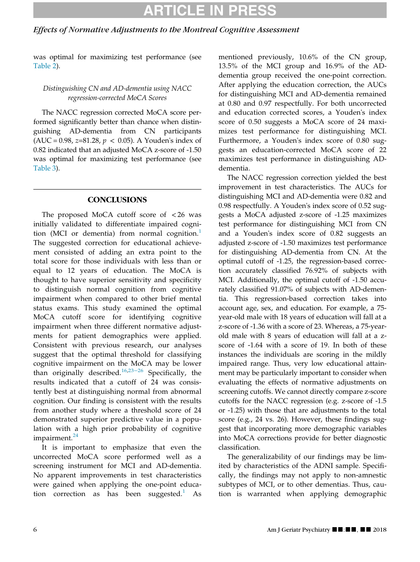## ARTICLE IN

### Effects of Normative Adjustments to the Montreal Cognitive Assessment

was optimal for maximizing test performance (see [Table 2](#page-3-0)).

### Distinguishing CN and AD-dementia using NACC regression-corrected MoCA Scores

The NACC regression corrected MoCA score performed significantly better than chance when distinguishing AD-dementia from CN participants (AUC = 0.98, z=81.28,  $p < 0.05$ ). A Youden's index of 0.82 indicated that an adjusted MoCA z-score of -1.50 was optimal for maximizing test performance (see [Table 3\)](#page-4-0).

### **CONCLUSIONS**

The proposed MoCA cutoff score of < 26 was initially validated to differentiate impaired cogni-tion (MCI or dementia) from normal cognition.<sup>[1](#page-8-0)</sup> The suggested correction for educational achievement consisted of adding an extra point to the total score for those individuals with less than or equal to 12 years of education. The MoCA is thought to have superior sensitivity and specificity to distinguish normal cognition from cognitive impairment when compared to other brief mental status exams. This study examined the optimal MoCA cutoff score for identifying cognitive impairment when three different normative adjustments for patient demographics were applied. Consistent with previous research, our analyses suggest that the optimal threshold for classifying cognitive impairment on the MoCA may be lower than originally described.[16,](#page-8-15)23−[26](#page-8-16) Specifically, the results indicated that a cutoff of 24 was consistently best at distinguishing normal from abnormal cognition. Our finding is consistent with the results from another study where a threshold score of 24 demonstrated superior predictive value in a population with a high prior probability of cognitive impairment.<sup>[24](#page-8-17)</sup>

It is important to emphasize that even the uncorrected MoCA score performed well as a screening instrument for MCI and AD-dementia. No apparent improvements in test characteristics were gained when applying the one-point education correction as has been suggested. $<sup>1</sup>$  $<sup>1</sup>$  $<sup>1</sup>$  As</sup> mentioned previously, 10.6% of the CN group, 13.5% of the MCI group and 16.9% of the ADdementia group received the one-point correction. After applying the education correction, the AUCs for distinguishing MCI and AD-dementia remained at 0.80 and 0.97 respectfully. For both uncorrected and education corrected scores, a Youden's index score of 0.50 suggests a MoCA score of 24 maximizes test performance for distinguishing MCI. Furthermore, a Youden's index score of 0.80 suggests an education-corrected MoCA score of 22 maximizes test performance in distinguishing ADdementia.

The NACC regression correction yielded the best improvement in test characteristics. The AUCs for distinguishing MCI and AD-dementia were 0.82 and 0.98 respectfully. A Youden's index score of 0.52 suggests a MoCA adjusted z-score of -1.25 maximizes test performance for distinguishing MCI from CN and a Youden's index score of 0.82 suggests an adjusted z-score of -1.50 maximizes test performance for distinguishing AD-dementia from CN. At the optimal cutoff of -1.25, the regression-based correction accurately classified 76.92% of subjects with MCI. Additionally, the optimal cutoff of -1.50 accurately classified 91.07% of subjects with AD-dementia. This regression-based correction takes into account age, sex, and education. For example, a 75 year-old male with 18 years of education will fall at a z-score of -1.36 with a score of 23. Whereas, a 75-yearold male with 8 years of education will fall at a zscore of -1.64 with a score of 19. In both of these instances the individuals are scoring in the mildly impaired range. Thus, very low educational attainment may be particularly important to consider when evaluating the effects of normative adjustments on screening cutoffs. We cannot directly compare z-score cutoffs for the NACC regression (e.g. z-score of -1.5 or -1.25) with those that are adjustments to the total score (e.g., 24 vs. 26). However, these findings suggest that incorporating more demographic variables into MoCA corrections provide for better diagnostic classification.

The generalizability of our findings may be limited by characteristics of the ADNI sample. Specifically, the findings may not apply to non-amnestic subtypes of MCI, or to other dementias. Thus, caution is warranted when applying demographic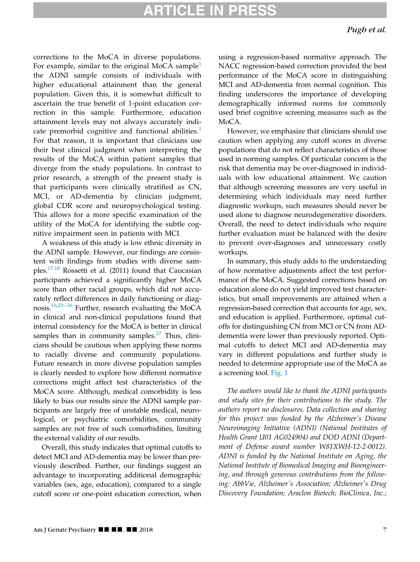corrections to the MoCA in diverse populations. For example, similar to the original MoCA sample<sup>[1](#page-8-0)</sup> the ADNI sample consists of individuals with higher educational attainment than the general population. Given this, it is somewhat difficult to ascertain the true benefit of 1-point education correction in this sample. Furthermore, education attainment levels may not always accurately indicate premorbid cognitive and functional abilities. $<sup>1</sup>$  $<sup>1</sup>$  $<sup>1</sup>$ </sup> For that reason, it is important that clinicians use their best clinical judgment when interpreting the results of the MoCA within patient samples that diverge from the study populations. In contrast to prior research, a strength of the present study is that participants were clinically stratified as CN, MCI, or AD-dementia by clinician judgment, global CDR score and neuropsychological testing. This allows for a more specific examination of the utility of the MoCA for identifying the subtle cognitive impairment seen in patients with MCI.

A weakness of this study is low ethnic diversity in the ADNI sample. However, our findings are consistent with findings from studies with diverse sam-ples.<sup>[17,18](#page-8-10)</sup> Rossetti et al. (2011) found that Caucasian participants achieved a significantly higher MoCA score than other racial groups, which did not accurately reflect differences in daily functioning or diag-nosis.<sup>[16,](#page-8-15)23–[26](#page-8-16)</sup> Further, research evaluating the MoCA in clinical and non-clinical populations found that internal consistency for the MoCA is better in clinical samples than in community samples. $27$  Thus, clinicians should be cautious when applying these norms to racially diverse and community populations. Future research in more diverse population samples is clearly needed to explore how different normative corrections might affect test characteristics of the MoCA score. Although, medical comorbidity is less likely to bias our results since the ADNI sample participants are largely free of unstable medical, neurological, or psychiatric comorbidities, community samples are not free of such comorbidities, limiting the external validity of our results.

Overall, this study indicates that optimal cutoffs to detect MCI and AD-dementia may be lower than previously described. Further, our findings suggest an advantage to incorporating additional demographic variables (sex, age, education), compared to a single cutoff score or one-point education correction, when using a regression-based normative approach. The NACC regression-based correction provided the best performance of the MoCA score in distinguishing MCI and AD-dementia from normal cognition. This finding underscores the importance of developing demographically informed norms for commonly used brief cognitive screening measures such as the MoCA.

However, we emphasize that clinicians should use caution when applying any cutoff scores in diverse populations that do not reflect characteristics of those used in norming samples. Of particular concern is the risk that dementia may be over-diagnosed in individuals with low educational attainment. We caution that although screening measures are very useful in determining which individuals may need further diagnostic workups, such measures should never be used alone to diagnose neurodegenerative disorders. Overall, the need to detect individuals who require further evaluation must be balanced with the desire to prevent over-diagnoses and unnecessary costly workups.

In summary, this study adds to the understanding of how normative adjustments affect the test performance of the MoCA. Suggested corrections based on education alone do not yield improved test characteristics, but small improvements are attained when a regression-based correction that accounts for age, sex, and education is applied. Furthermore, optimal cutoffs for distinguishing CN from MCI or CN from ADdementia were lower than previously reported. Optimal cutoffs to detect MCI and AD-dementia may vary in different populations and further study is needed to determine appropriate use of the MoCA as a screening tool. [Fig. 1](#page-7-0)

The authors would like to thank the ADNI participants and study sites for their contributions to the study. The authors report no disclosures. Data collection and sharing for this project was funded by the Alzheimer's Disease Neuroimaging Initiative (ADNI) (National Institutes of Health Grant U01 AG024904) and DOD ADNI (Department of Defense award number W81XWH-12-2-0012). ADNI is funded by the National Institute on Aging, the National Institute of Biomedical Imaging and Bioengineering, and through generous contributions from the following: AbbVie, Alzheimer's Association; Alzheimer's Drug Discovery Foundation; Araclon Biotech; BioClinica, Inc.;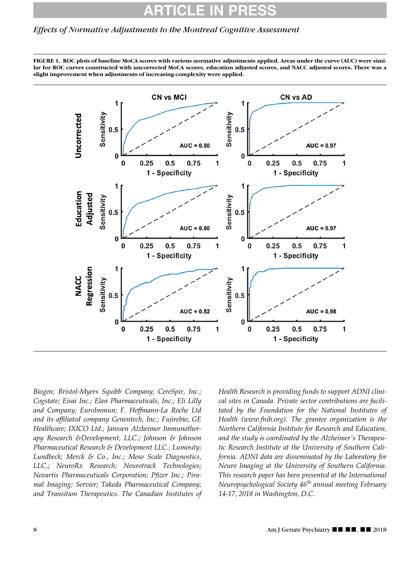#### Effects of Normative Adjustments to the Montreal Cognitive Assessment

<span id="page-7-0"></span>FIGURE 1. ROC plots of baseline MoCA scores with various normative adjustments applied. Areas under the curve (AUC) were similar for ROC curves constructed with uncorrected MoCA scores, education adjusted scores, and NACC adjusted scores. There was a slight improvement when adjustments of increasing complexity were applied.



Biogen; Bristol-Myers Squibb Company; CereSpir, Inc.; Cogstate; Eisai Inc.; Elan Pharmaceuticals, Inc.; Eli Lilly and Company; EuroImmun; F. Hoffmann-La Roche Ltd and its affiliated company Genentech, Inc.; Fujirebio; GE Healthcare; IXICO Ltd.; Janssen Alzheimer Immunotherapy Research &Development, LLC.; Johnson & Johnson Pharmaceutical Research & Development LLC.; Lumosity; Lundbeck; Merck & Co., Inc.; Meso Scale Diagnostics, LLC.; NeuroRx Research; Neurotrack Technologies; Novartis Pharmaceuticals Corporation; Pfizer Inc.; Piramal Imaging; Servier; Takeda Pharmaceutical Company; and Transition Therapeutics. The Canadian Institutes of Health Research is providing funds to support ADNI clinical sites in Canada. Private sector contributions are facilitated by the Foundation for the National Institutes of Health (www.fnih.org). The grantee organization is the Northern California Institute for Research and Education, and the study is coordinated by the Alzheimer's Therapeutic Research Institute at the University of Southern California. ADNI data are disseminated by the Laboratory for Neuro Imaging at the University of Southern California. This research paper has been presented at the International Neuropsychological Society  $46<sup>th</sup>$  annual meeting February 14-17, 2018 in Washington, D.C.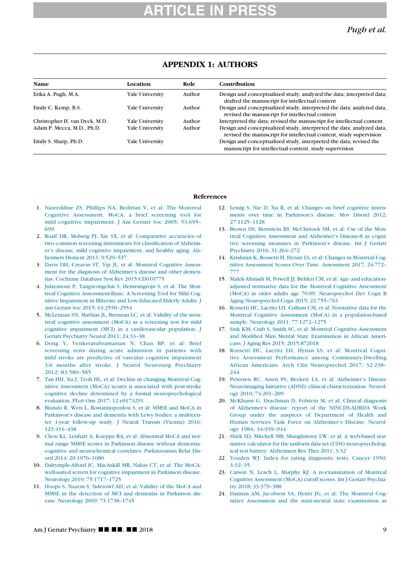| <b>Name</b>                   | Location        | Role   | <b>Contribution</b>                                                                                                                         |
|-------------------------------|-----------------|--------|---------------------------------------------------------------------------------------------------------------------------------------------|
| Erika A. Pugh, M.A.           | Yale University | Author | Design and conceptualized study; analyzed the data; interpreted data;<br>drafted the manuscript for intellectual content                    |
| Emily C. Kemp, B.S.           | Yale University | Author | Design and conceptualized study, interpreted the data; analyzed data,<br>revised the manuscript for intellectual content                    |
| Christopher H. van Dyck, M.D. | Yale University | Author | Interpreted the data; revised the manuscript for intellectual content                                                                       |
| Adam P. Mecca, M.D., Ph.D.    | Yale Universitv | Author | Design and conceptualized study, interpreted the data; analyzed data,<br>revised the manuscript for intellectual content, study supervision |
| Emily S. Sharp, Ph.D.         | Yale University |        | Design and conceptualized study, interpreted the data; revised the<br>manuscript for intellectual content, study supervision                |

### APPENDIX 1: AUTHORS

#### References

- <span id="page-8-0"></span>1. [Nasreddine ZS, Phillips NA, Bedirian V, et al: The Montreal](http://refhub.elsevier.com/S1064-7481(18)30486-X/sbref0001) [Cognitive Assessment, MoCA: a](http://refhub.elsevier.com/S1064-7481(18)30486-X/sbref0001) brief screening tool for [mild cognitive impairment. J Am Geriatr Soc 2005; 53:695–](http://refhub.elsevier.com/S1064-7481(18)30486-X/sbref0001) [699](http://refhub.elsevier.com/S1064-7481(18)30486-X/sbref0001)
- <span id="page-8-1"></span>2. [Roalf DR, Moberg PJ, Xie SX, et al: Comparative accuracies of](http://refhub.elsevier.com/S1064-7481(18)30486-X/sbref0002) [two common screening instruments for classification of Alzheim](http://refhub.elsevier.com/S1064-7481(18)30486-X/sbref0002)[er's disease, mild cognitive impairment, and healthy aging. Alz](http://refhub.elsevier.com/S1064-7481(18)30486-X/sbref0002)[heimers Dement 2013; 9:529–537](http://refhub.elsevier.com/S1064-7481(18)30486-X/sbref0002)
- <span id="page-8-9"></span><span id="page-8-6"></span>3. [Davis DH, Creavin ST, Yip JL, et al: Montreal Cognitive Assess](http://refhub.elsevier.com/S1064-7481(18)30486-X/sbref0003)[ment for the diagnosis of Alzheimer's disease and other demen](http://refhub.elsevier.com/S1064-7481(18)30486-X/sbref0003)[tias. Cochrane Database Syst Rev 2015:CD010775](http://refhub.elsevier.com/S1064-7481(18)30486-X/sbref0003)
- <span id="page-8-8"></span><span id="page-8-5"></span>4. [Julayanont P, Tangwongchai S, Hemrungrojn S, et al: The Mon](http://refhub.elsevier.com/S1064-7481(18)30486-X/sbref0004)[treal Cognitive Assessment-Basic: A Screening Tool for Mild Cog](http://refhub.elsevier.com/S1064-7481(18)30486-X/sbref0004)[nitive Impairment in Illiterate and Low-Educated Elderly Adults. J](http://refhub.elsevier.com/S1064-7481(18)30486-X/sbref0004) [Am Geriatr Soc 2015; 63:2550–2554](http://refhub.elsevier.com/S1064-7481(18)30486-X/sbref0004)
- <span id="page-8-15"></span><span id="page-8-10"></span><span id="page-8-2"></span>5. [McLennan SN, Mathias JL, Brennan LC, et al: Validity of the mon](http://refhub.elsevier.com/S1064-7481(18)30486-X/sbref0005)[treal cognitive assessment \(MoCA\) as a screening test for mild](http://refhub.elsevier.com/S1064-7481(18)30486-X/sbref0005) [cognitive impairment \(MCI\) in a cardiovascular population. J](http://refhub.elsevier.com/S1064-7481(18)30486-X/sbref0005) [Geriatr Psychiatry Neurol 2011; 24:33–38](http://refhub.elsevier.com/S1064-7481(18)30486-X/sbref0005)
- 6. [Dong Y, Venketasubramanian N, Chan BP, et al: Brief](http://refhub.elsevier.com/S1064-7481(18)30486-X/sbref0006) [screening tests during acute admission in patients with](http://refhub.elsevier.com/S1064-7481(18)30486-X/sbref0006) [mild stroke are predictive of vascular cognitive impairment](http://refhub.elsevier.com/S1064-7481(18)30486-X/sbref0006) [3-6 months after stroke. J Neurol Neurosurg Psychiatry](http://refhub.elsevier.com/S1064-7481(18)30486-X/sbref0006) [2012; 83:580–585](http://refhub.elsevier.com/S1064-7481(18)30486-X/sbref0006)
- <span id="page-8-11"></span>7. [Tan HH, Xu J, Teoh HL, et al: Decline in changing Montreal Cog](http://refhub.elsevier.com/S1064-7481(18)30486-X/sbref0007)[nitive Assessment \(MoCA\) scores is associated with post-stroke](http://refhub.elsevier.com/S1064-7481(18)30486-X/sbref0007) [cognitive decline determined by a formal neuropsychological](http://refhub.elsevier.com/S1064-7481(18)30486-X/sbref0007) [evaluation. PLoS One 2017; 12:e0173291](http://refhub.elsevier.com/S1064-7481(18)30486-X/sbref0007)
- <span id="page-8-12"></span><span id="page-8-3"></span>8. [Biundo R, Weis L, Bostantjopoulou S, et al: MMSE and MoCA in](http://refhub.elsevier.com/S1064-7481(18)30486-X/sbref0008) [Parkinson's disease and dementia with Lewy bodies: a multicen](http://refhub.elsevier.com/S1064-7481(18)30486-X/sbref0008)[ter 1-year follow-up study. J Neural Transm \(Vienna\) 2016;](http://refhub.elsevier.com/S1064-7481(18)30486-X/sbref0008) [123:431–438](http://refhub.elsevier.com/S1064-7481(18)30486-X/sbref0008)
- <span id="page-8-13"></span><span id="page-8-4"></span>9. [Chou KL, Lenhart A, Koeppe RA, et al: Abnormal MoCA and nor](http://refhub.elsevier.com/S1064-7481(18)30486-X/sbref0009)[mal range MMSE scores in Parkinson disease without dementia:](http://refhub.elsevier.com/S1064-7481(18)30486-X/sbref0009) [cognitive and neurochemical correlates. Parkinsonism Relat Dis](http://refhub.elsevier.com/S1064-7481(18)30486-X/sbref0009)[ord 2014; 20:1076–1080](http://refhub.elsevier.com/S1064-7481(18)30486-X/sbref0009)
- <span id="page-8-16"></span><span id="page-8-14"></span>10. [Dalrymple-Alford JC, MacAskill MR, Nakas CT, et al: The MoCA:](http://refhub.elsevier.com/S1064-7481(18)30486-X/sbref0010) [well-suited screen for cognitive impairment in Parkinson disease.](http://refhub.elsevier.com/S1064-7481(18)30486-X/sbref0010) [Neurology 2010; 75:1717–1725](http://refhub.elsevier.com/S1064-7481(18)30486-X/sbref0010)
- <span id="page-8-17"></span><span id="page-8-7"></span>11. [Hoops S, Nazem S, Siderowf AD, et al: Validity of the MoCA and](http://refhub.elsevier.com/S1064-7481(18)30486-X/sbref0011) [MMSE in the detection of MCI and dementia in Parkinson dis](http://refhub.elsevier.com/S1064-7481(18)30486-X/sbref0011)[ease. Neurology 2009; 73:1738–1745](http://refhub.elsevier.com/S1064-7481(18)30486-X/sbref0011)
- 12. [Lessig S, Nie D, Xu R, et al: Changes on brief cognitive instru](http://refhub.elsevier.com/S1064-7481(18)30486-X/sbref0012)[ments over time in Parkinson's disease. Mov Disord 2012;](http://refhub.elsevier.com/S1064-7481(18)30486-X/sbref0012) [27:1125–1128](http://refhub.elsevier.com/S1064-7481(18)30486-X/sbref0012)
- 13. [Brown DS, Bernstein IH, McClintock SM, et al: Use of the Mon](http://refhub.elsevier.com/S1064-7481(18)30486-X/sbref0013)[treal Cognitive Assessment and Alzheimer's Disease-8 as cogni](http://refhub.elsevier.com/S1064-7481(18)30486-X/sbref0013)[tive screening measures in Parkinson's disease. Int J Geriatr](http://refhub.elsevier.com/S1064-7481(18)30486-X/sbref0013) [Psychiatry 2016; 31:264–272](http://refhub.elsevier.com/S1064-7481(18)30486-X/sbref0013)
- 14. [Krishnan K, Rossetti H, Hynan LS, et al: Changes in Montreal Cog](http://refhub.elsevier.com/S1064-7481(18)30486-X/sbref0014)[nitive Assessment Scores Over Time. Assessment 2017; 24:772–](http://refhub.elsevier.com/S1064-7481(18)30486-X/sbref0014) [777](http://refhub.elsevier.com/S1064-7481(18)30486-X/sbref0014)
- 15. [Malek-Ahmadi M, Powell JJ, Belden CM, et al: Age- and education](http://refhub.elsevier.com/S1064-7481(18)30486-X/sbref0015)[adjusted normative data for the Montreal Cognitive Assessment](http://refhub.elsevier.com/S1064-7481(18)30486-X/sbref0015) [\(MoCA\) in older adults age 70-99. Neuropsychol Dev Cogn B](http://refhub.elsevier.com/S1064-7481(18)30486-X/sbref0015) [Aging Neuropsychol Cogn 2015; 22:755–761](http://refhub.elsevier.com/S1064-7481(18)30486-X/sbref0015)
- 16. [Rossetti HC, Lacritz LH, Cullum CM, et al: Normative data for the](http://refhub.elsevier.com/S1064-7481(18)30486-X/sbref0016) [Montreal Cognitive Assessment \(MoCA\) in a population-based](http://refhub.elsevier.com/S1064-7481(18)30486-X/sbref0016) [sample. Neurology 2011; 77:1272–1275](http://refhub.elsevier.com/S1064-7481(18)30486-X/sbref0016)
- 17. [Sink KM, Craft S, Smith SC, et al: Montreal Cognitive Assessment](http://refhub.elsevier.com/S1064-7481(18)30486-X/sbref0017) [and Modified Mini Mental State Examination in African Ameri](http://refhub.elsevier.com/S1064-7481(18)30486-X/sbref0017)[cans. J Aging Res 2015; 2015:872018](http://refhub.elsevier.com/S1064-7481(18)30486-X/sbref0017)
- 18. [Rossetti HC, Lacritz LH, Hynan LS, et al: Montreal Cogni](http://refhub.elsevier.com/S1064-7481(18)30486-X/sbref0018)[tive Assessment Performance among Community-Dwelling](http://refhub.elsevier.com/S1064-7481(18)30486-X/sbref0018) [African Americans. Arch Clin Neuropsychol 2017; 32:238–](http://refhub.elsevier.com/S1064-7481(18)30486-X/sbref0018) [244](http://refhub.elsevier.com/S1064-7481(18)30486-X/sbref0018)
- 19. [Petersen RC, Aisen PS, Beckett LA, et al: Alzheimer's Disease](http://refhub.elsevier.com/S1064-7481(18)30486-X/sbref0019) [Neuroimaging Initiative \(ADNI\): clinical characterization. Neurol](http://refhub.elsevier.com/S1064-7481(18)30486-X/sbref0019)[ogy 2010; 74:201–209](http://refhub.elsevier.com/S1064-7481(18)30486-X/sbref0019)
- 20. [McKhann G, Drachman D, Folstein M, et al: Clinical diagnosis](http://refhub.elsevier.com/S1064-7481(18)30486-X/sbref0020) [of Alzheimer's disease: report of the NINCDS-ADRDA Work](http://refhub.elsevier.com/S1064-7481(18)30486-X/sbref0020) [Group under the auspices of Department of Health and](http://refhub.elsevier.com/S1064-7481(18)30486-X/sbref0020) [Human Services Task Force on Alzheimer's Disease. Neurol](http://refhub.elsevier.com/S1064-7481(18)30486-X/sbref0020)[ogy 1984; 34:939–944](http://refhub.elsevier.com/S1064-7481(18)30486-X/sbref0020)
- 21. [Shirk SD, Mitchell MB, Shaughnessy LW, et al: A web-based nor](http://refhub.elsevier.com/S1064-7481(18)30486-X/sbref0021)[mative calculator for the uniform data set \(UDS\) neuropsycholog](http://refhub.elsevier.com/S1064-7481(18)30486-X/sbref0021)[ical test battery. Alzheimers Res Ther 2011; 3:32](http://refhub.elsevier.com/S1064-7481(18)30486-X/sbref0021)
- 22. [Youden WJ: Index for rating diagnostic tests. Cancer 1950;](http://refhub.elsevier.com/S1064-7481(18)30486-X/sbref0022) [3:32–35](http://refhub.elsevier.com/S1064-7481(18)30486-X/sbref0022)
- 23. [Carson N, Leach L, Murphy KJ: A re-examination of Montreal](http://refhub.elsevier.com/S1064-7481(18)30486-X/sbref0023) [Cognitive Assessment \(MoCA\) cutoff scores. Int J Geriatr Psychia](http://refhub.elsevier.com/S1064-7481(18)30486-X/sbref0023)[try 2018; 33:379–388](http://refhub.elsevier.com/S1064-7481(18)30486-X/sbref0023)
- 24. [Damian AM, Jacobson SA, Hentz JG, et al: The Montreal Cog](http://refhub.elsevier.com/S1064-7481(18)30486-X/sbref0024)[nitive Assessment and the mini-mental state examination as](http://refhub.elsevier.com/S1064-7481(18)30486-X/sbref0024)